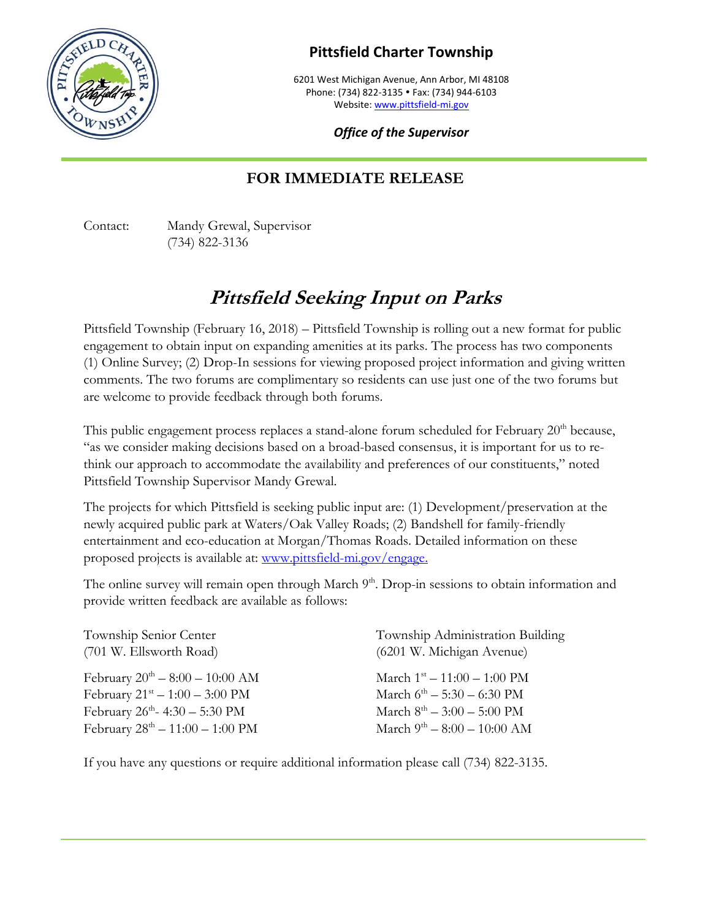

## **Pittsfield Charter Township**

6201 West Michigan Avenue, Ann Arbor, MI 48108 Phone: (734) 822-3135 · Fax: (734) 944-6103 Website[: www.pittsfield-mi.gov](http://www.pittsfield-mi.gov/)

*Office of the Supervisor*

## **FOR IMMEDIATE RELEASE**

Contact: Mandy Grewal, Supervisor (734) 822-3136

## **Pittsfield Seeking Input on Parks**

Pittsfield Township (February 16, 2018) – Pittsfield Township is rolling out a new format for public engagement to obtain input on expanding amenities at its parks. The process has two components (1) Online Survey; (2) Drop-In sessions for viewing proposed project information and giving written comments. The two forums are complimentary so residents can use just one of the two forums but are welcome to provide feedback through both forums.

This public engagement process replaces a stand-alone forum scheduled for February  $20<sup>th</sup>$  because, "as we consider making decisions based on a broad-based consensus, it is important for us to rethink our approach to accommodate the availability and preferences of our constituents," noted Pittsfield Township Supervisor Mandy Grewal.

The projects for which Pittsfield is seeking public input are: (1) Development/preservation at the newly acquired public park at Waters/Oak Valley Roads; (2) Bandshell for family-friendly entertainment and eco-education at Morgan/Thomas Roads. Detailed information on these proposed projects is available at: [www.pittsfield-mi.gov/engage.](http://www.pittsfield-mi.gov/engage)

The online survey will remain open through March 9<sup>th</sup>. Drop-in sessions to obtain information and provide written feedback are available as follows:

| Township Senior Center<br>(701 W. Ellsworth Road)   | Township Administration Building<br>(6201 W. Michigan Avenue) |
|-----------------------------------------------------|---------------------------------------------------------------|
| February $20^{th} - 8:00 - 10:00$ AM                | March $1^{\rm st} - 11:00 - 1:00$ PM                          |
| February $21^{st} - 1:00 - 3:00 \text{ PM}$         | March $6^{\text{th}} - 5:30 - 6:30$ PM                        |
| February $26^{\text{th}} - 4:30 - 5:30 \text{ PM}$  | March $8^{\text{th}} - 3:00 - 5:00 \text{ PM}$                |
| February $28^{\text{th}} - 11:00 - 1:00 \text{ PM}$ | March $9^{\text{th}} - 8:00 - 10:00$ AM                       |

If you have any questions or require additional information please call (734) 822-3135.